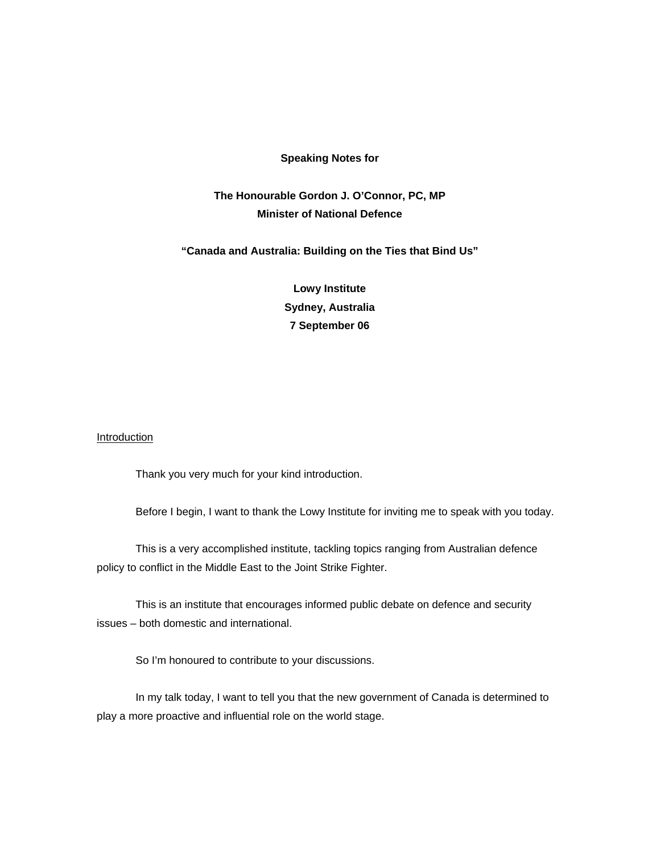#### **Speaking Notes for**

# **The Honourable Gordon J. O'Connor, PC, MP Minister of National Defence**

## **"Canada and Australia: Building on the Ties that Bind Us"**

**Lowy Institute Sydney, Australia 7 September 06** 

### **Introduction**

Thank you very much for your kind introduction.

Before I begin, I want to thank the Lowy Institute for inviting me to speak with you today.

This is a very accomplished institute, tackling topics ranging from Australian defence policy to conflict in the Middle East to the Joint Strike Fighter.

This is an institute that encourages informed public debate on defence and security issues – both domestic and international.

So I'm honoured to contribute to your discussions.

In my talk today, I want to tell you that the new government of Canada is determined to play a more proactive and influential role on the world stage.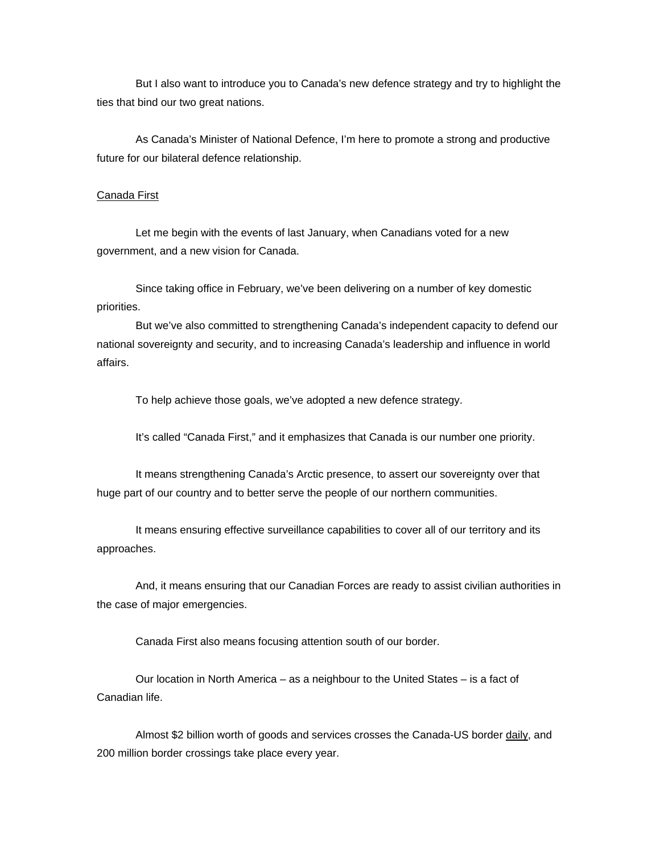But I also want to introduce you to Canada's new defence strategy and try to highlight the ties that bind our two great nations.

As Canada's Minister of National Defence, I'm here to promote a strong and productive future for our bilateral defence relationship.

#### Canada First

Let me begin with the events of last January, when Canadians voted for a new government, and a new vision for Canada.

Since taking office in February, we've been delivering on a number of key domestic priorities.

But we've also committed to strengthening Canada's independent capacity to defend our national sovereignty and security, and to increasing Canada's leadership and influence in world affairs.

To help achieve those goals, we've adopted a new defence strategy.

It's called "Canada First," and it emphasizes that Canada is our number one priority.

It means strengthening Canada's Arctic presence, to assert our sovereignty over that huge part of our country and to better serve the people of our northern communities.

It means ensuring effective surveillance capabilities to cover all of our territory and its approaches.

And, it means ensuring that our Canadian Forces are ready to assist civilian authorities in the case of major emergencies.

Canada First also means focusing attention south of our border.

Our location in North America – as a neighbour to the United States – is a fact of Canadian life.

Almost \$2 billion worth of goods and services crosses the Canada-US border daily, and 200 million border crossings take place every year.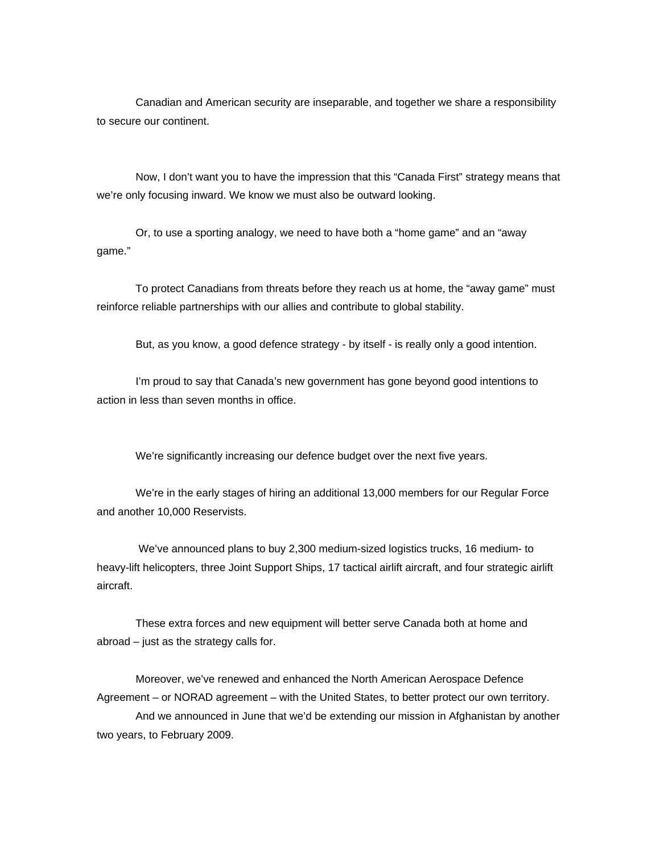Canadian and American security are inseparable, and together we share a responsibility to secure our continent.

Now, I don't want you to have the impression that this "Canada First" strategy means that we're only focusing inward. We know we must also be outward looking.

Or, to use a sporting analogy, we need to have both a "home game" and an "away game."

To protect Canadians from threats before they reach us at home, the "away game" must reinforce reliable partnerships with our allies and contribute to global stability.

But, as you know, a good defence strategy - by itself - is really only a good intention.

 I'm proud to say that Canada's new government has gone beyond good intentions to action in less than seven months in office.

We're significantly increasing our defence budget over the next five years.

 We're in the early stages of hiring an additional 13,000 members for our Regular Force and another 10,000 Reservists.

 We've announced plans to buy 2,300 medium-sized logistics trucks, 16 medium- to heavy-lift helicopters, three Joint Support Ships, 17 tactical airlift aircraft, and four strategic airlift aircraft.

 These extra forces and new equipment will better serve Canada both at home and abroad – just as the strategy calls for.

 Moreover, we've renewed and enhanced the North American Aerospace Defence Agreement – or NORAD agreement – with the United States, to better protect our own territory. And we announced in June that we'd be extending our mission in Afghanistan by another two years, to February 2009.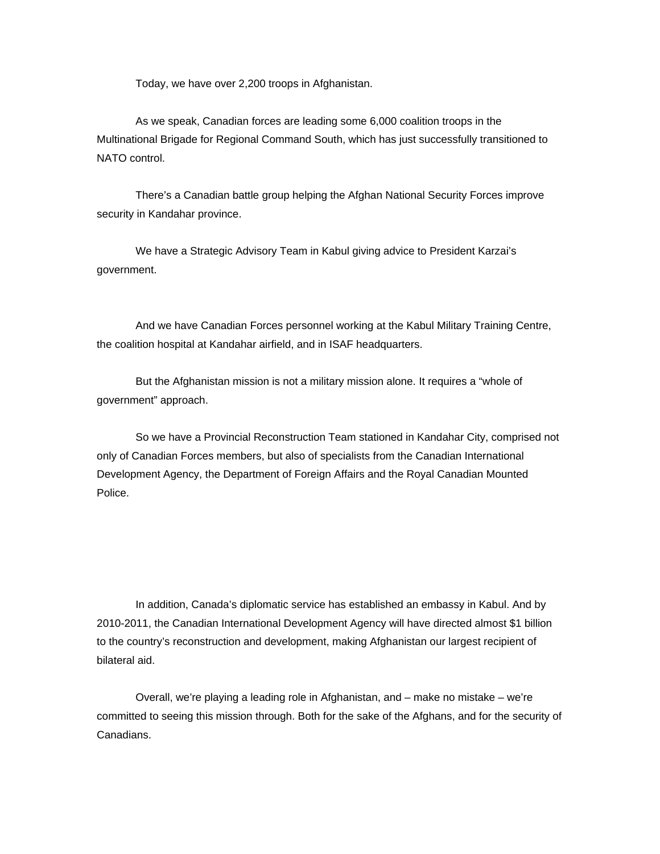Today, we have over 2,200 troops in Afghanistan.

As we speak, Canadian forces are leading some 6,000 coalition troops in the Multinational Brigade for Regional Command South, which has just successfully transitioned to NATO control.

There's a Canadian battle group helping the Afghan National Security Forces improve security in Kandahar province.

 We have a Strategic Advisory Team in Kabul giving advice to President Karzai's government.

 And we have Canadian Forces personnel working at the Kabul Military Training Centre, the coalition hospital at Kandahar airfield, and in ISAF headquarters.

 But the Afghanistan mission is not a military mission alone. It requires a "whole of government" approach.

 So we have a Provincial Reconstruction Team stationed in Kandahar City, comprised not only of Canadian Forces members, but also of specialists from the Canadian International Development Agency, the Department of Foreign Affairs and the Royal Canadian Mounted Police.

 In addition, Canada's diplomatic service has established an embassy in Kabul. And by 2010-2011, the Canadian International Development Agency will have directed almost \$1 billion to the country's reconstruction and development, making Afghanistan our largest recipient of bilateral aid.

 Overall, we're playing a leading role in Afghanistan, and – make no mistake – we're committed to seeing this mission through. Both for the sake of the Afghans, and for the security of Canadians.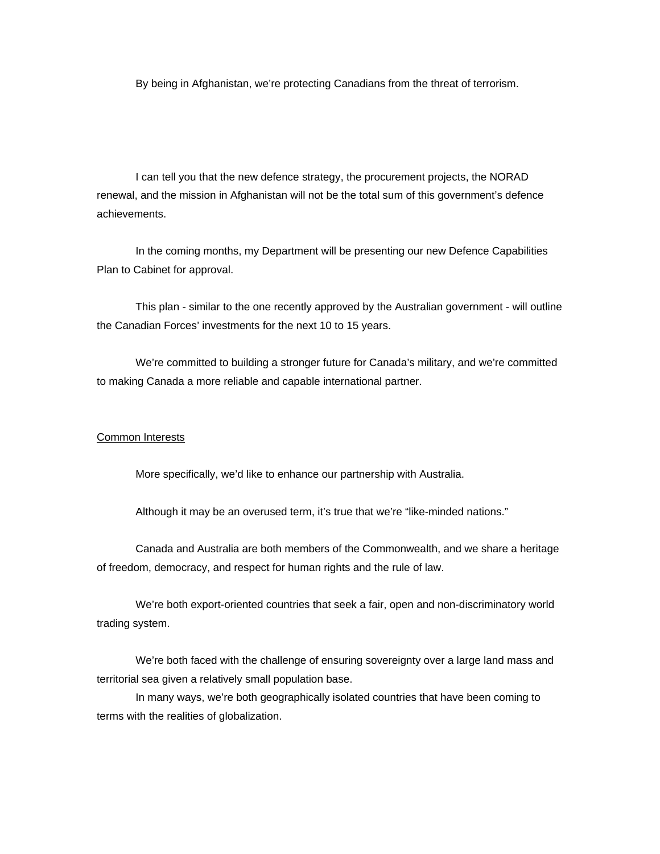By being in Afghanistan, we're protecting Canadians from the threat of terrorism.

I can tell you that the new defence strategy, the procurement projects, the NORAD renewal, and the mission in Afghanistan will not be the total sum of this government's defence achievements.

 In the coming months, my Department will be presenting our new Defence Capabilities Plan to Cabinet for approval.

 This plan - similar to the one recently approved by the Australian government - will outline the Canadian Forces' investments for the next 10 to 15 years.

 We're committed to building a stronger future for Canada's military, and we're committed to making Canada a more reliable and capable international partner.

#### Common Interests

More specifically, we'd like to enhance our partnership with Australia.

Although it may be an overused term, it's true that we're "like-minded nations."

 Canada and Australia are both members of the Commonwealth, and we share a heritage of freedom, democracy, and respect for human rights and the rule of law.

We're both export-oriented countries that seek a fair, open and non-discriminatory world trading system.

We're both faced with the challenge of ensuring sovereignty over a large land mass and territorial sea given a relatively small population base.

In many ways, we're both geographically isolated countries that have been coming to terms with the realities of globalization.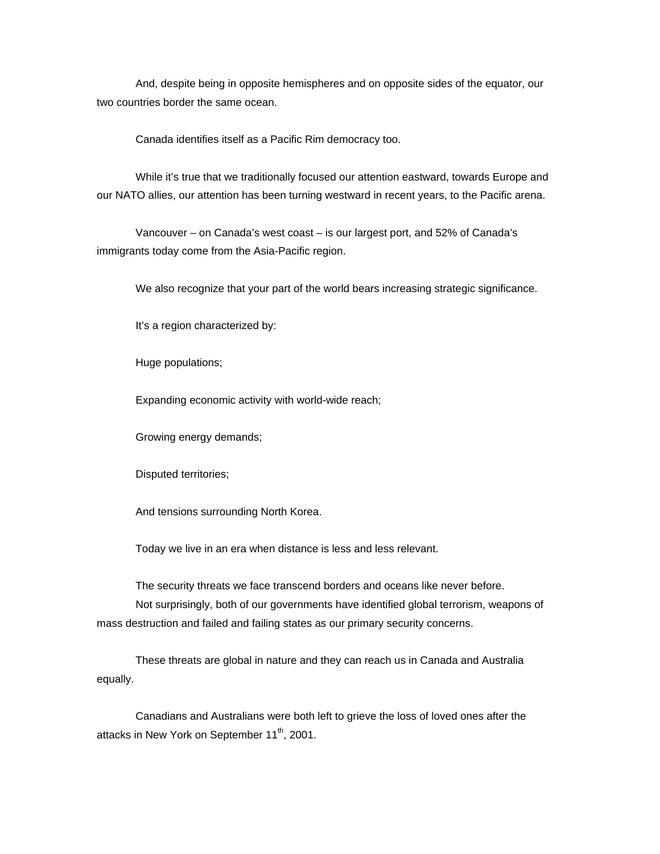And, despite being in opposite hemispheres and on opposite sides of the equator, our two countries border the same ocean.

Canada identifies itself as a Pacific Rim democracy too.

While it's true that we traditionally focused our attention eastward, towards Europe and our NATO allies, our attention has been turning westward in recent years, to the Pacific arena.

Vancouver – on Canada's west coast – is our largest port, and 52% of Canada's immigrants today come from the Asia-Pacific region.

We also recognize that your part of the world bears increasing strategic significance.

It's a region characterized by:

Huge populations;

Expanding economic activity with world-wide reach;

Growing energy demands;

Disputed territories;

And tensions surrounding North Korea.

Today we live in an era when distance is less and less relevant.

The security threats we face transcend borders and oceans like never before. Not surprisingly, both of our governments have identified global terrorism, weapons of mass destruction and failed and failing states as our primary security concerns.

These threats are global in nature and they can reach us in Canada and Australia equally.

Canadians and Australians were both left to grieve the loss of loved ones after the attacks in New York on September 11<sup>th</sup>, 2001.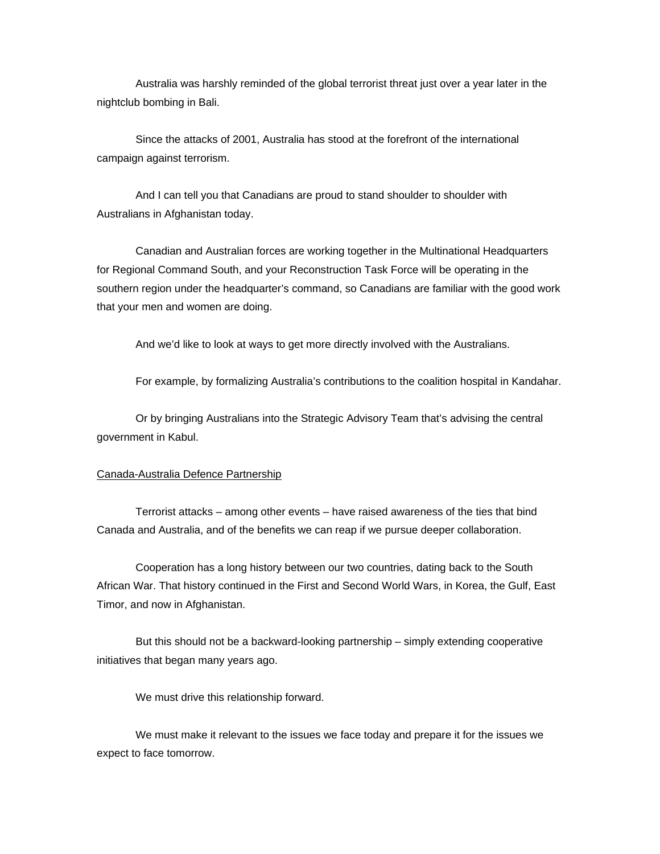Australia was harshly reminded of the global terrorist threat just over a year later in the nightclub bombing in Bali.

Since the attacks of 2001, Australia has stood at the forefront of the international campaign against terrorism.

And I can tell you that Canadians are proud to stand shoulder to shoulder with Australians in Afghanistan today.

Canadian and Australian forces are working together in the Multinational Headquarters for Regional Command South, and your Reconstruction Task Force will be operating in the southern region under the headquarter's command, so Canadians are familiar with the good work that your men and women are doing.

And we'd like to look at ways to get more directly involved with the Australians.

For example, by formalizing Australia's contributions to the coalition hospital in Kandahar.

Or by bringing Australians into the Strategic Advisory Team that's advising the central government in Kabul.

## Canada-Australia Defence Partnership

Terrorist attacks – among other events – have raised awareness of the ties that bind Canada and Australia, and of the benefits we can reap if we pursue deeper collaboration.

Cooperation has a long history between our two countries, dating back to the South African War. That history continued in the First and Second World Wars, in Korea, the Gulf, East Timor, and now in Afghanistan.

But this should not be a backward-looking partnership – simply extending cooperative initiatives that began many years ago.

We must drive this relationship forward.

We must make it relevant to the issues we face today and prepare it for the issues we expect to face tomorrow.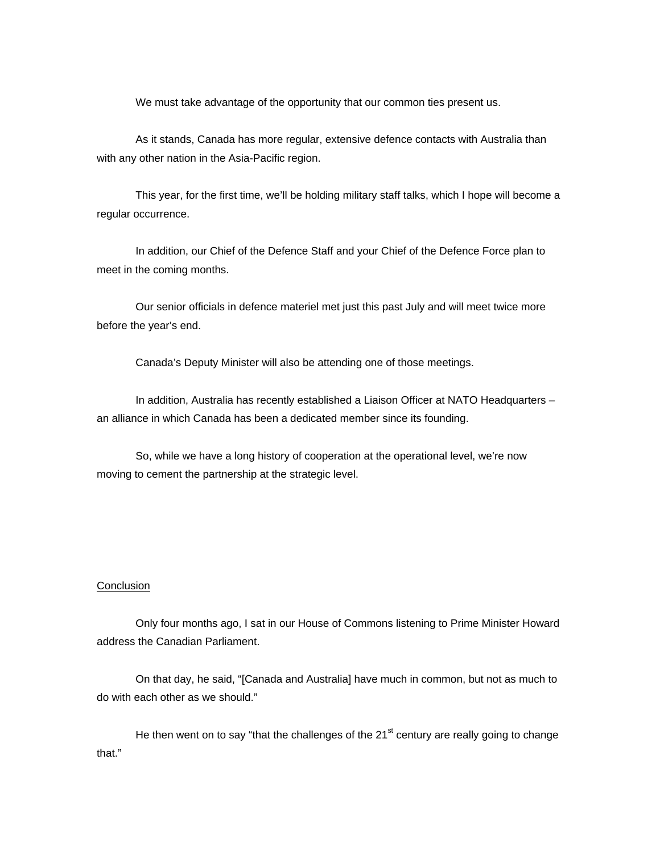We must take advantage of the opportunity that our common ties present us.

As it stands, Canada has more regular, extensive defence contacts with Australia than with any other nation in the Asia-Pacific region.

 This year, for the first time, we'll be holding military staff talks, which I hope will become a regular occurrence.

 In addition, our Chief of the Defence Staff and your Chief of the Defence Force plan to meet in the coming months.

 Our senior officials in defence materiel met just this past July and will meet twice more before the year's end.

Canada's Deputy Minister will also be attending one of those meetings.

 In addition, Australia has recently established a Liaison Officer at NATO Headquarters – an alliance in which Canada has been a dedicated member since its founding.

So, while we have a long history of cooperation at the operational level, we're now moving to cement the partnership at the strategic level.

### **Conclusion**

Only four months ago, I sat in our House of Commons listening to Prime Minister Howard address the Canadian Parliament.

On that day, he said, "[Canada and Australia] have much in common, but not as much to do with each other as we should."

He then went on to say "that the challenges of the  $21<sup>st</sup>$  century are really going to change that."